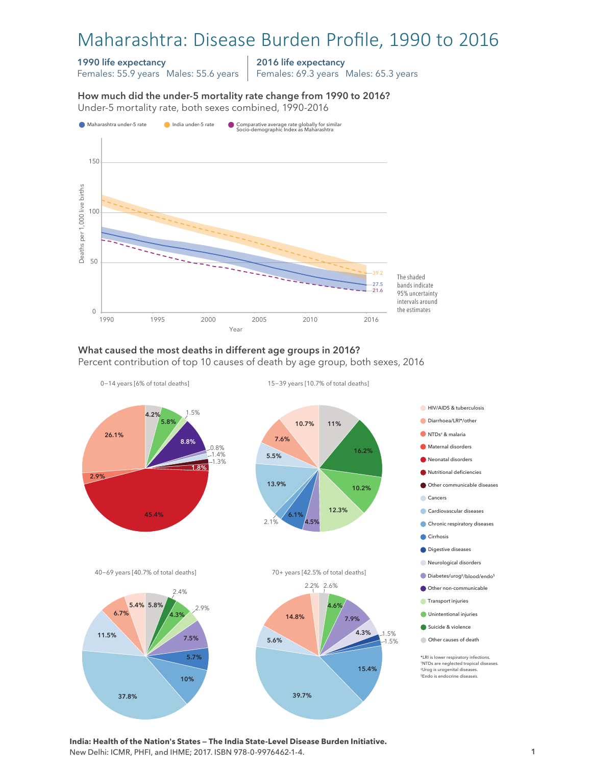# Maharashtra: Disease Burden Profile, 1990 to 2016

#### 1990 life expectancy

Females: 55.9 years Males: 55.6 years

2016 life expectancy

Females: 69.3 years Males: 65.3 years

How much did the under-5 mortality rate change from 1990 to 2016?

How much did the under-5 mortality rate change from 1990 to 2016? Under-5 mortality rate, both sexes combined, 1990-2016 Under-5 mortality rate, both sexes combined, 1990-2016



## What caused the most deaths in different age groups in 2016?

Percent contribution of top 10 causes of death by age group, both sexes, 2016



**India: Health of the Nation's States — The India State-Level Disease Burden Initiative.**  New Delhi: ICMR, PHFI, and IHME; 2017. ISBN 978-0-9976462-1-4.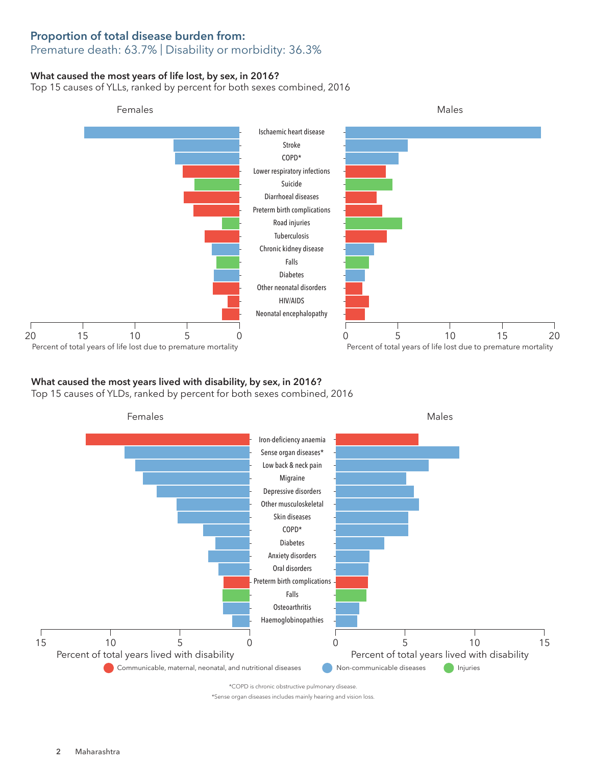# Proportion of total disease burden from:

## Premature death: 63.7% | Disability or morbidity: 36.3%

## What caused the most years of life lost, by sex, in 2016?

Top 15 causes of YLLs, ranked by percent for both sexes combined, 2016



#### What caused the most years lived with disability, by sex, in 2016? Top 15 causes of YLDs, ranked by percent for both sexes combined, 2016



\*Sense organ diseases includes mainly hearing and vision loss.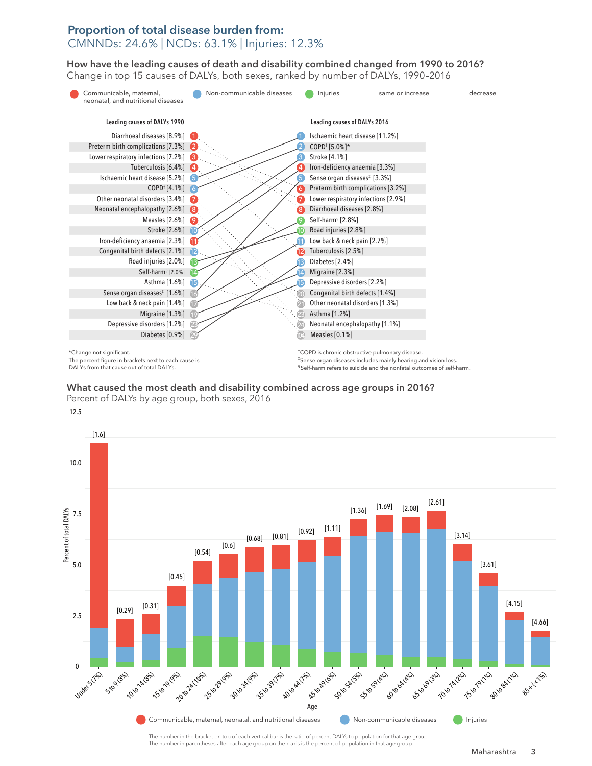### Proportion of total disease burden from: CMNNDs: 24.6% | NCDs: 63.1% | Injuries: 12.3%

How have the leading causes of death and disability combined changed from 1990 to 2016? How have the leading causes of death and disability combined changed from 1990 to 2016? Change in top 15 causes of DALYs, both sexes, ranked by number of DALYs, 1990–2016 Change in top 15 causes of DALYs, both sexes, ranked by number of DALYs, 1990–2016



\*Change not significant.

The percent figure in brackets next to each cause is DALYs from that cause out of total DALYs.

†COPD is chronic obstructive pulmonary disease. ‡Sense organ diseases includes mainly hearing and vision loss. § Self-harm refers to suicide and the nonfatal outcomes of self-harm.

What caused the most death and disability combined across age groups in 2016? What caused the most death and disability combined across age groups in 2016? Percent of DALYs by age group, both sexes, 2016 Percent of DALYs by age group, both sexes, 2016



The number in the bracket on top of each vertical bar is the ratio of percent DALYs to population for that age group. The number in parentheses after each age group on the x-axis is the percent of population in that age group.